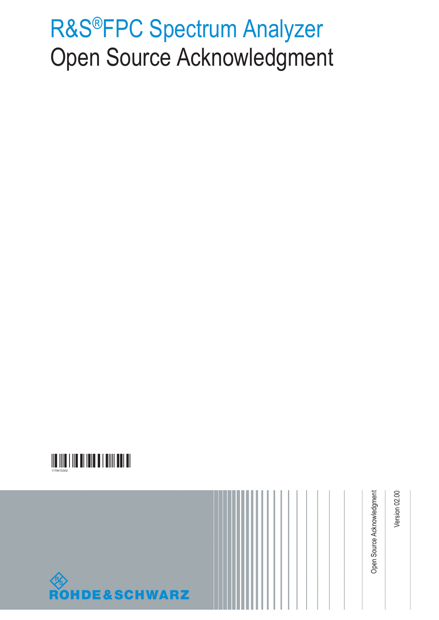# R&S®FPC Spectrum Analyzer Open Source Acknowledgment



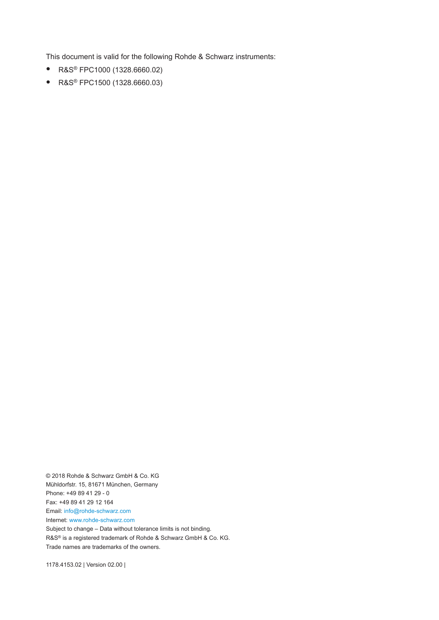This document is valid for the following Rohde & Schwarz instruments:

- R&S® FPC1000 (1328.6660.02)
- R&S® FPC1500 (1328.6660.03)

© 2018 Rohde & Schwarz GmbH & Co. KG Mühldorfstr. 15, 81671 München, Germany Phone: +49 89 41 29 - 0 Fax: +49 89 41 29 12 164 Email: [info@rohde-schwarz.com](mailto:info@rohde-schwarz.com) Internet: [www.rohde-schwarz.com](http://www.rohde-schwarz.com)

Subject to change – Data without tolerance limits is not binding. R&S® is a registered trademark of Rohde & Schwarz GmbH & Co. KG. Trade names are trademarks of the owners.

1178.4153.02 | Version 02.00 |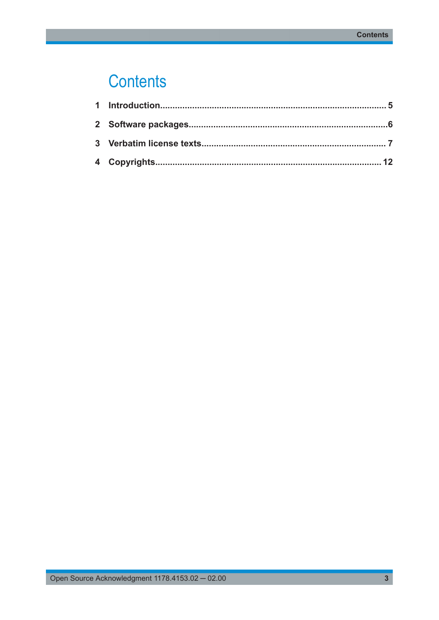## **Contents**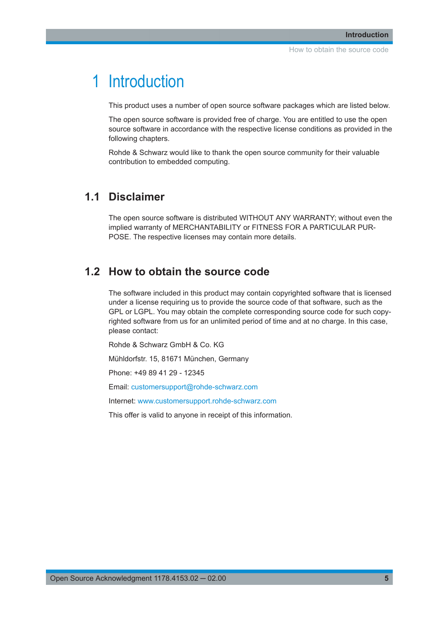### <span id="page-4-0"></span>1 Introduction

This product uses a number of open source software packages which are listed below.

The open source software is provided free of charge. You are entitled to use the open source software in accordance with the respective license conditions as provided in the following chapters.

Rohde & Schwarz would like to thank the open source community for their valuable contribution to embedded computing.

#### **1.1 Disclaimer**

The open source software is distributed WITHOUT ANY WARRANTY; without even the implied warranty of MERCHANTABILITY or FITNESS FOR A PARTICULAR PUR-POSE. The respective licenses may contain more details.

#### **1.2 How to obtain the source code**

The software included in this product may contain copyrighted software that is licensed under a license requiring us to provide the source code of that software, such as the GPL or LGPL. You may obtain the complete corresponding source code for such copyrighted software from us for an unlimited period of time and at no charge. In this case, please contact:

Rohde & Schwarz GmbH & Co. KG

Mühldorfstr. 15, 81671 München, Germany

Phone: +49 89 41 29 - 12345

Email: [customersupport@rohde-schwarz.com](mailto:customersupport@rohde-schwarz.com)

Internet: [www.customersupport.rohde-schwarz.com](http://www.customersupport.rohde-schwarz.com)

This offer is valid to anyone in receipt of this information.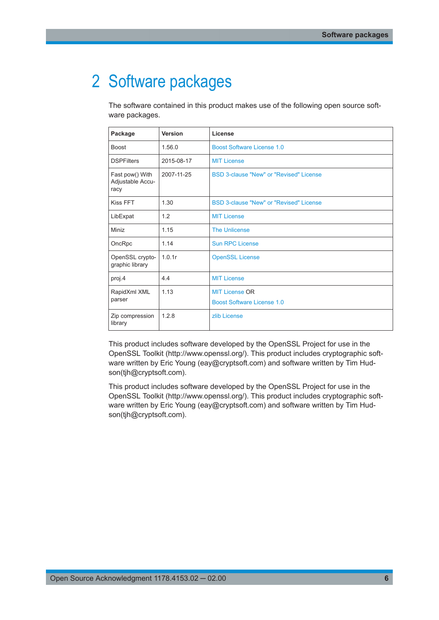### <span id="page-5-0"></span>2 Software packages

The software contained in this product makes use of the following open source software packages.

| Package                                     | <b>Version</b> | License                                        |
|---------------------------------------------|----------------|------------------------------------------------|
| <b>Boost</b>                                | 1.56.0         | <b>Boost Software License 1.0</b>              |
| <b>DSPFilters</b>                           | 2015-08-17     | <b>MIT License</b>                             |
| Fast pow() With<br>Adjustable Accu-<br>racy | 2007-11-25     | <b>BSD 3-clause "New" or "Revised" License</b> |
| Kiss FFT                                    | 1.30           | BSD 3-clause "New" or "Revised" License        |
| LibExpat                                    | 1.2            | <b>MIT License</b>                             |
| Miniz                                       | 1.15           | <b>The Unlicense</b>                           |
| OncRpc                                      | 1.14           | <b>Sun RPC License</b>                         |
| OpenSSL crypto-<br>graphic library          | 1.0.1r         | <b>OpenSSL License</b>                         |
| proj.4                                      | 4.4            | <b>MIT License</b>                             |
| RapidXml XML                                | 1.13           | <b>MIT License OR</b>                          |
| parser                                      |                | Boost Software License 1.0                     |
| Zip compression<br>library                  | 1.2.8          | zlib License                                   |

This product includes software developed by the OpenSSL Project for use in the OpenSSL Toolkit (http://www.openssl.org/). This product includes cryptographic software written by Eric Young (eay@cryptsoft.com) and software written by Tim Hudson(tjh@cryptsoft.com).

This product includes software developed by the OpenSSL Project for use in the OpenSSL Toolkit (http://www.openssl.org/). This product includes cryptographic software written by Eric Young (eay@cryptsoft.com) and software written by Tim Hudson(tjh@cryptsoft.com).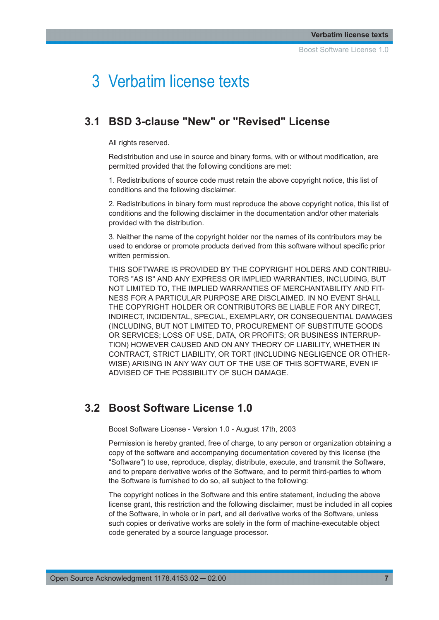### <span id="page-6-0"></span>3 Verbatim license texts

#### **3.1 BSD 3-clause "New" or "Revised" License**

All rights reserved.

Redistribution and use in source and binary forms, with or without modification, are permitted provided that the following conditions are met:

1. Redistributions of source code must retain the above copyright notice, this list of conditions and the following disclaimer.

2. Redistributions in binary form must reproduce the above copyright notice, this list of conditions and the following disclaimer in the documentation and/or other materials provided with the distribution.

3. Neither the name of the copyright holder nor the names of its contributors may be used to endorse or promote products derived from this software without specific prior written permission.

THIS SOFTWARE IS PROVIDED BY THE COPYRIGHT HOLDERS AND CONTRIBU-TORS "AS IS" AND ANY EXPRESS OR IMPLIED WARRANTIES, INCLUDING, BUT NOT LIMITED TO, THE IMPLIED WARRANTIES OF MERCHANTABILITY AND FIT-NESS FOR A PARTICULAR PURPOSE ARE DISCLAIMED. IN NO EVENT SHALL THE COPYRIGHT HOLDER OR CONTRIBUTORS BE LIABLE FOR ANY DIRECT, INDIRECT, INCIDENTAL, SPECIAL, EXEMPLARY, OR CONSEQUENTIAL DAMAGES (INCLUDING, BUT NOT LIMITED TO, PROCUREMENT OF SUBSTITUTE GOODS OR SERVICES; LOSS OF USE, DATA, OR PROFITS; OR BUSINESS INTERRUP-TION) HOWEVER CAUSED AND ON ANY THEORY OF LIABILITY, WHETHER IN CONTRACT, STRICT LIABILITY, OR TORT (INCLUDING NEGLIGENCE OR OTHER-WISE) ARISING IN ANY WAY OUT OF THE USE OF THIS SOFTWARE, EVEN IF ADVISED OF THE POSSIBILITY OF SUCH DAMAGE.

#### **3.2 Boost Software License 1.0**

Boost Software License - Version 1.0 - August 17th, 2003

Permission is hereby granted, free of charge, to any person or organization obtaining a copy of the software and accompanying documentation covered by this license (the "Software") to use, reproduce, display, distribute, execute, and transmit the Software, and to prepare derivative works of the Software, and to permit third-parties to whom the Software is furnished to do so, all subject to the following:

The copyright notices in the Software and this entire statement, including the above license grant, this restriction and the following disclaimer, must be included in all copies of the Software, in whole or in part, and all derivative works of the Software, unless such copies or derivative works are solely in the form of machine-executable object code generated by a source language processor.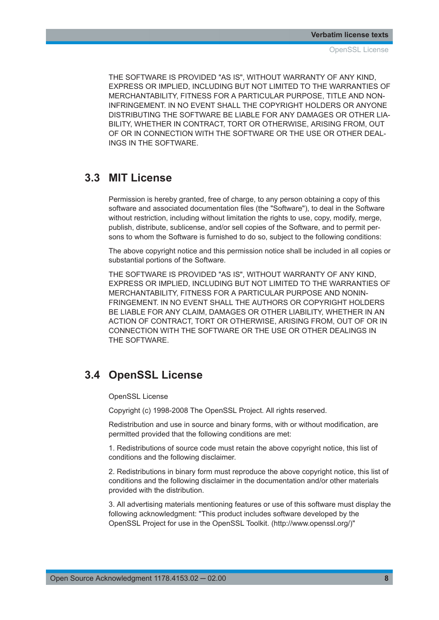<span id="page-7-0"></span>THE SOFTWARE IS PROVIDED "AS IS", WITHOUT WARRANTY OF ANY KIND, EXPRESS OR IMPLIED, INCLUDING BUT NOT LIMITED TO THE WARRANTIES OF MERCHANTABILITY, FITNESS FOR A PARTICULAR PURPOSE, TITLE AND NON-INFRINGEMENT. IN NO EVENT SHALL THE COPYRIGHT HOLDERS OR ANYONE DISTRIBUTING THE SOFTWARE BE LIABLE FOR ANY DAMAGES OR OTHER LIA-BILITY, WHETHER IN CONTRACT, TORT OR OTHERWISE, ARISING FROM, OUT OF OR IN CONNECTION WITH THE SOFTWARE OR THE USE OR OTHER DEAL-INGS IN THE SOFTWARE.

### **3.3 MIT License**

Permission is hereby granted, free of charge, to any person obtaining a copy of this software and associated documentation files (the "Software"), to deal in the Software without restriction, including without limitation the rights to use, copy, modify, merge, publish, distribute, sublicense, and/or sell copies of the Software, and to permit persons to whom the Software is furnished to do so, subject to the following conditions:

The above copyright notice and this permission notice shall be included in all copies or substantial portions of the Software.

THE SOFTWARE IS PROVIDED "AS IS", WITHOUT WARRANTY OF ANY KIND, EXPRESS OR IMPLIED, INCLUDING BUT NOT LIMITED TO THE WARRANTIES OF MERCHANTABILITY, FITNESS FOR A PARTICULAR PURPOSE AND NONIN-FRINGEMENT. IN NO EVENT SHALL THE AUTHORS OR COPYRIGHT HOLDERS BE LIABLE FOR ANY CLAIM, DAMAGES OR OTHER LIABILITY, WHETHER IN AN ACTION OF CONTRACT, TORT OR OTHERWISE, ARISING FROM, OUT OF OR IN CONNECTION WITH THE SOFTWARE OR THE USE OR OTHER DEALINGS IN THE SOFTWARE.

### **3.4 OpenSSL License**

OpenSSL License

Copyright (c) 1998-2008 The OpenSSL Project. All rights reserved.

Redistribution and use in source and binary forms, with or without modification, are permitted provided that the following conditions are met:

1. Redistributions of source code must retain the above copyright notice, this list of conditions and the following disclaimer.

2. Redistributions in binary form must reproduce the above copyright notice, this list of conditions and the following disclaimer in the documentation and/or other materials provided with the distribution.

3. All advertising materials mentioning features or use of this software must display the following acknowledgment: "This product includes software developed by the OpenSSL Project for use in the OpenSSL Toolkit. (http://www.openssl.org/)"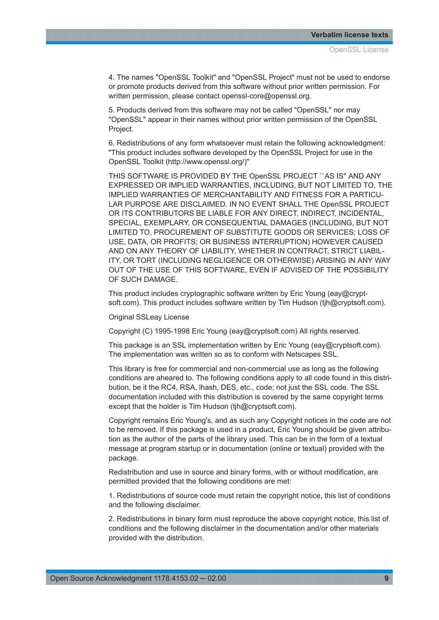4. The names "OpenSSL Toolkit" and "OpenSSL Project" must not be used to endorse or promote products derived from this software without prior written permission. For written permission, please contact openssl-core@openssl.org.

5. Products derived from this software may not be called "OpenSSL" nor may "OpenSSL" appear in their names without prior written permission of the OpenSSL Project.

6. Redistributions of any form whatsoever must retain the following acknowledgment: "This product includes software developed by the OpenSSL Project for use in the OpenSSL Toolkit (http://www.openssl.org/)"

THIS SOFTWARE IS PROVIDED BY THE OpenSSL PROJECT ``AS IS'' AND ANY EXPRESSED OR IMPLIED WARRANTIES, INCLUDING, BUT NOT LIMITED TO, THE IMPLIED WARRANTIES OF MERCHANTABILITY AND FITNESS FOR A PARTICU-LAR PURPOSE ARE DISCLAIMED. IN NO EVENT SHALL THE OpenSSL PROJECT OR ITS CONTRIBUTORS BE LIABLE FOR ANY DIRECT, INDIRECT, INCIDENTAL, SPECIAL, EXEMPLARY, OR CONSEQUENTIAL DAMAGES (INCLUDING, BUT NOT LIMITED TO, PROCUREMENT OF SUBSTITUTE GOODS OR SERVICES; LOSS OF USE, DATA, OR PROFITS; OR BUSINESS INTERRUPTION) HOWEVER CAUSED AND ON ANY THEORY OF LIABILITY, WHETHER IN CONTRACT, STRICT LIABIL-ITY, OR TORT (INCLUDING NEGLIGENCE OR OTHERWISE) ARISING IN ANY WAY OUT OF THE USE OF THIS SOFTWARE, EVEN IF ADVISED OF THE POSSIBILITY OF SUCH DAMAGE.

This product includes cryptographic software written by Eric Young (eay@cryptsoft.com). This product includes software written by Tim Hudson (tjh@cryptsoft.com).

Original SSLeay License

Copyright (C) 1995-1998 Eric Young (eay@cryptsoft.com) All rights reserved.

This package is an SSL implementation written by Eric Young (eay@cryptsoft.com). The implementation was written so as to conform with Netscapes SSL.

This library is free for commercial and non-commercial use as long as the following conditions are aheared to. The following conditions apply to all code found in this distribution, be it the RC4, RSA, lhash, DES, etc., code; not just the SSL code. The SSL documentation included with this distribution is covered by the same copyright terms except that the holder is Tim Hudson (tjh@cryptsoft.com).

Copyright remains Eric Young's, and as such any Copyright notices in the code are not to be removed. If this package is used in a product, Eric Young should be given attribution as the author of the parts of the library used. This can be in the form of a textual message at program startup or in documentation (online or textual) provided with the package.

Redistribution and use in source and binary forms, with or without modification, are permitted provided that the following conditions are met:

1. Redistributions of source code must retain the copyright notice, this list of conditions and the following disclaimer.

2. Redistributions in binary form must reproduce the above copyright notice, this list of conditions and the following disclaimer in the documentation and/or other materials provided with the distribution.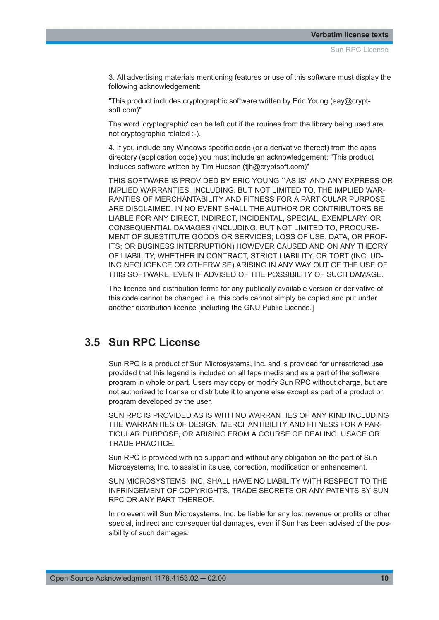<span id="page-9-0"></span>3. All advertising materials mentioning features or use of this software must display the following acknowledgement:

"This product includes cryptographic software written by Eric Young (eay@cryptsoft.com)"

The word 'cryptographic' can be left out if the rouines from the library being used are not cryptographic related :-).

4. If you include any Windows specific code (or a derivative thereof) from the apps directory (application code) you must include an acknowledgement: "This product includes software written by Tim Hudson (tih@cryptsoft.com)"

THIS SOFTWARE IS PROVIDED BY ERIC YOUNG ``AS IS'' AND ANY EXPRESS OR IMPLIED WARRANTIES, INCLUDING, BUT NOT LIMITED TO, THE IMPLIED WAR-RANTIES OF MERCHANTABILITY AND FITNESS FOR A PARTICULAR PURPOSE ARE DISCLAIMED. IN NO EVENT SHALL THE AUTHOR OR CONTRIBUTORS BE LIABLE FOR ANY DIRECT, INDIRECT, INCIDENTAL, SPECIAL, EXEMPLARY, OR CONSEQUENTIAL DAMAGES (INCLUDING, BUT NOT LIMITED TO, PROCURE-MENT OF SUBSTITUTE GOODS OR SERVICES; LOSS OF USE, DATA, OR PROF-ITS; OR BUSINESS INTERRUPTION) HOWEVER CAUSED AND ON ANY THEORY OF LIABILITY, WHETHER IN CONTRACT, STRICT LIABILITY, OR TORT (INCLUD-ING NEGLIGENCE OR OTHERWISE) ARISING IN ANY WAY OUT OF THE USE OF THIS SOFTWARE, EVEN IF ADVISED OF THE POSSIBILITY OF SUCH DAMAGE.

The licence and distribution terms for any publically available version or derivative of this code cannot be changed. i.e. this code cannot simply be copied and put under another distribution licence [including the GNU Public Licence.]

#### **3.5 Sun RPC License**

Sun RPC is a product of Sun Microsystems, Inc. and is provided for unrestricted use provided that this legend is included on all tape media and as a part of the software program in whole or part. Users may copy or modify Sun RPC without charge, but are not authorized to license or distribute it to anyone else except as part of a product or program developed by the user.

SUN RPC IS PROVIDED AS IS WITH NO WARRANTIES OF ANY KIND INCLUDING THE WARRANTIES OF DESIGN, MERCHANTIBILITY AND FITNESS FOR A PAR-TICULAR PURPOSE, OR ARISING FROM A COURSE OF DEALING, USAGE OR TRADE PRACTICE.

Sun RPC is provided with no support and without any obligation on the part of Sun Microsystems, Inc. to assist in its use, correction, modification or enhancement.

SUN MICROSYSTEMS, INC. SHALL HAVE NO LIABILITY WITH RESPECT TO THE INFRINGEMENT OF COPYRIGHTS, TRADE SECRETS OR ANY PATENTS BY SUN RPC OR ANY PART THEREOF.

In no event will Sun Microsystems, Inc. be liable for any lost revenue or profits or other special, indirect and consequential damages, even if Sun has been advised of the possibility of such damages.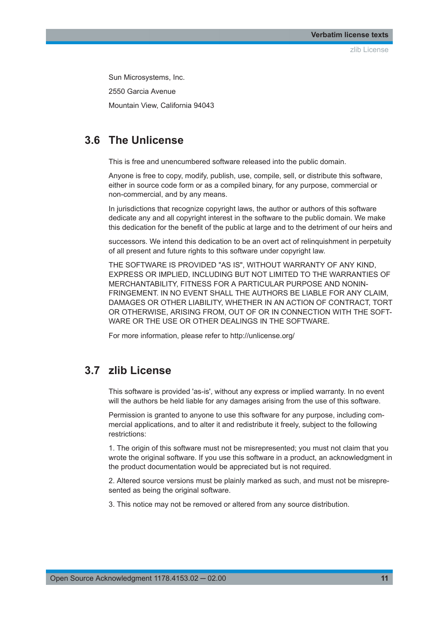zlib License

<span id="page-10-0"></span>Sun Microsystems, Inc.

2550 Garcia Avenue

Mountain View, California 94043

#### **3.6 The Unlicense**

This is free and unencumbered software released into the public domain.

Anyone is free to copy, modify, publish, use, compile, sell, or distribute this software, either in source code form or as a compiled binary, for any purpose, commercial or non-commercial, and by any means.

In jurisdictions that recognize copyright laws, the author or authors of this software dedicate any and all copyright interest in the software to the public domain. We make this dedication for the benefit of the public at large and to the detriment of our heirs and

successors. We intend this dedication to be an overt act of relinquishment in perpetuity of all present and future rights to this software under copyright law.

THE SOFTWARE IS PROVIDED "AS IS", WITHOUT WARRANTY OF ANY KIND, EXPRESS OR IMPLIED, INCLUDING BUT NOT LIMITED TO THE WARRANTIES OF MERCHANTABILITY, FITNESS FOR A PARTICULAR PURPOSE AND NONIN-FRINGEMENT. IN NO EVENT SHALL THE AUTHORS BE LIABLE FOR ANY CLAIM, DAMAGES OR OTHER LIABILITY, WHETHER IN AN ACTION OF CONTRACT, TORT OR OTHERWISE, ARISING FROM, OUT OF OR IN CONNECTION WITH THE SOFT-WARE OR THE USE OR OTHER DEALINGS IN THE SOFTWARE.

For more information, please refer to http://unlicense.org/

#### **3.7 zlib License**

This software is provided 'as-is', without any express or implied warranty. In no event will the authors be held liable for any damages arising from the use of this software.

Permission is granted to anyone to use this software for any purpose, including commercial applications, and to alter it and redistribute it freely, subject to the following restrictions:

1. The origin of this software must not be misrepresented; you must not claim that you wrote the original software. If you use this software in a product, an acknowledgment in the product documentation would be appreciated but is not required.

2. Altered source versions must be plainly marked as such, and must not be misrepresented as being the original software.

3. This notice may not be removed or altered from any source distribution.